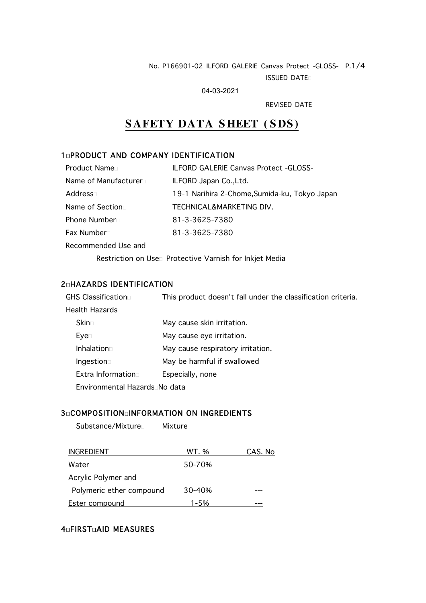#### No. P166901-02 ILFORD GALERIE Canvas Protect -GLOSS- P.1/4 ISSUED DATE

04-03-2021

REVISED DATE

# **SAFETY DATA SHEET ( SDS )**

## 1**QPRODUCT AND COMPANY IDENTIFICATION**

| <b>Product Name</b> □ | <b>ILFORD GALERIE Canvas Protect -GLOSS-</b>  |
|-----------------------|-----------------------------------------------|
| Name of Manufacturer□ | ILFORD Japan Co., Ltd.                        |
| Address⊓              | 19-1 Narihira 2-Chome, Sumida-ku, Tokyo Japan |
| Name of Section□      | TECHNICAL&MARKETING DIV.                      |
| Phone Number □        | 81-3-3625-7380                                |
| Fax Number ⊓          | 81-3-3625-7380                                |
| Recommended Use and   |                                               |
|                       |                                               |

Restriction on Use<sup>n</sup> Protective Varnish for Inkjet Media

## 2<sub>0</sub>HAZARDS IDENTIFICATION

| GHS Classification□           | This product doesn't fall under the classification criteria. |  |
|-------------------------------|--------------------------------------------------------------|--|
| Health Hazards                |                                                              |  |
| Skin⊤                         | May cause skin irritation.                                   |  |
| Eye⊡                          | May cause eye irritation.                                    |  |
| Inhalation                    | May cause respiratory irritation.                            |  |
| Ingestion $\square$           | May be harmful if swallowed                                  |  |
| Extra Information             | Especially, none                                             |  |
| Environmental HazardsΩNo data |                                                              |  |

#### 3<sup>D</sup>COMPOSITION<sup>D</sup>INFORMATION ON INGREDIENTS

Substance/Mixture Mixture

| <b>INGREDIENT</b>        | WT. %  | CAS. No |
|--------------------------|--------|---------|
| Water                    | 50-70% |         |
| Acrylic Polymer and      |        |         |
| Polymeric ether compound | 30-40% |         |
| <b>Ester compound</b>    | 1-5%   |         |

## 4<sub>0</sub>FIRST<sub>0</sub>AID MEASURES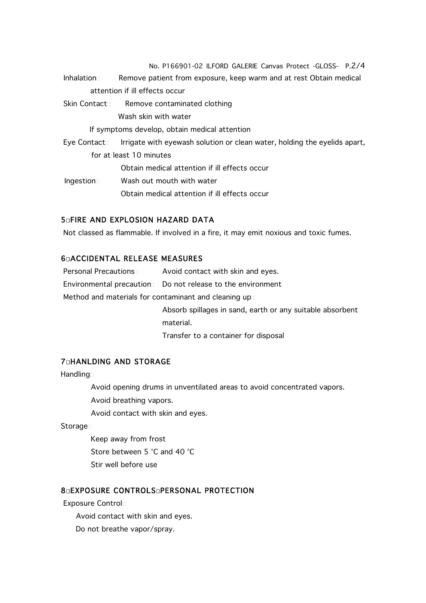No. P166901-02 ILFORD GALERIE Canvas Protect -GLOSS- P.2/4 Inhalation Remove patient from exposure, keep warm and at rest Obtain medical attention if ill effects occur Skin Contact Remove contaminated clothing Wash skin with water If symptoms develop, obtain medical attention Eye Contact Irrigate with eyewash solution or clean water, holding the eyelids apart, for at least 10 minutes Obtain medical attention if ill effects occur Ingestion Wash out mouth with water

Obtain medical attention if ill effects occur

#### 5FIRE AND EXPLOSION HAZARD DATA

Not classed as flammable. If involved in a fire, it may emit noxious and toxic fumes.

#### 6ACCIDENTAL RELEASE MEASURES

Personal Precautions **Avoid contact with skin and eyes.** 

Environmental precaution Do not release to the environment

Method and materials for contaminant and cleaning up

Absorb spillages in sand, earth or any suitable absorbent material.

Transfer to a container for disposal

#### **7<sub>D</sub>HANLDING AND STORAGE**

**Handling** 

Avoid opening drums in unventilated areas to avoid concentrated vapors.

Avoid breathing vapors.

Avoid contact with skin and eyes.

**Storage** 

Keep away from frost Store between 5 °C and 40 °C Stir well before use

#### **8 GEXPOSURE CONTROLS GPERSONAL PROTECTION**

Exposure Control

Avoid contact with skin and eyes.

Do not breathe vapor/spray.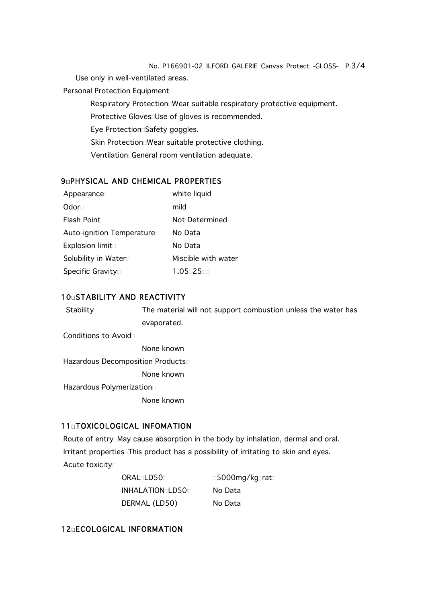No. P166901-02 ILFORD GALERIE Canvas Protect -GLOSS- P.3/4

Use only in well-ventilated areas.

Personal Protection Equipment

Respiratory Protection Wear suitable respiratory protective equipment.

Protective Gloves Use of gloves is recommended.

Eye Protection Safety goggles.

Skin Protection Wear suitable protective clothing.

Ventilation General room ventilation adequate.

#### 9<sub>0</sub>PHYSICAL AND CHEMICAL PROPERTIES

| Appearance                | white liquid        |
|---------------------------|---------------------|
| Odor⊤                     | mild                |
| Flash Point□              | Not Determined      |
| Auto-ignition Temperature | No Data             |
| Explosion limit           | No Data             |
| Solubility in Water       | Miscible with water |
| Specific Gravity□         | $1.05 - 25 - 1$     |

#### 10<sub>0</sub>STABILITY AND REACTIVITY

Stability The material will not support combustion unless the water has evaporated.

Conditions to Avoid

None known

Hazardous Decomposition Products

None known

Hazardous Polymerization

None known

#### 11<sup>d</sup>TOXICOLOGICAL INFOMATION

Route of entryMay cause absorption in the body by inhalation, dermal and oral. Irritant properties<sup>This</sup> product has a possibility of irritating to skin and eyes.

Acute toxicity

| ORAL <sub>LD50</sub> | □5000mg/kg□rat□ |
|----------------------|-----------------|
| INHALATIONOLD500     | No Data         |
| DERMAL (LD50)        | No Data         |

## 12ECOLOGICAL INFORMATION